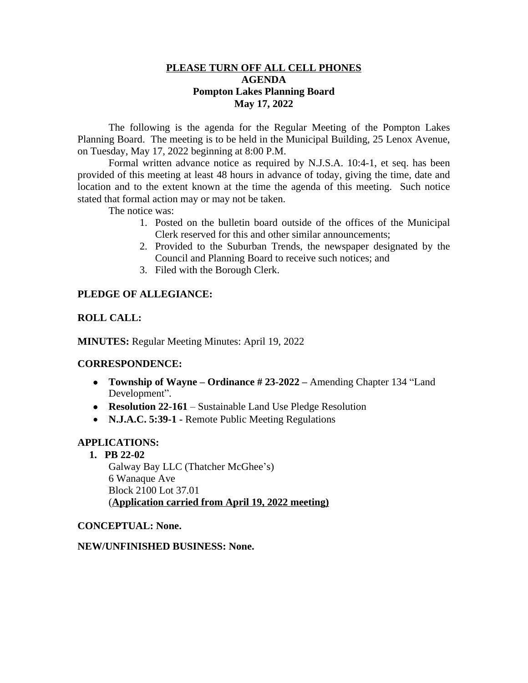### **PLEASE TURN OFF ALL CELL PHONES AGENDA Pompton Lakes Planning Board May 17, 2022**

The following is the agenda for the Regular Meeting of the Pompton Lakes Planning Board. The meeting is to be held in the Municipal Building, 25 Lenox Avenue, on Tuesday, May 17, 2022 beginning at 8:00 P.M.

Formal written advance notice as required by N.J.S.A. 10:4-1, et seq. has been provided of this meeting at least 48 hours in advance of today, giving the time, date and location and to the extent known at the time the agenda of this meeting. Such notice stated that formal action may or may not be taken.

The notice was:

- 1. Posted on the bulletin board outside of the offices of the Municipal Clerk reserved for this and other similar announcements;
- 2. Provided to the Suburban Trends, the newspaper designated by the Council and Planning Board to receive such notices; and
- 3. Filed with the Borough Clerk.

# **PLEDGE OF ALLEGIANCE:**

### **ROLL CALL:**

**MINUTES:** Regular Meeting Minutes: April 19, 2022

#### **CORRESPONDENCE:**

- **Township of Wayne – Ordinance # 23-2022 –** Amending Chapter 134 "Land Development".
- **Resolution 22-161** Sustainable Land Use Pledge Resolution
- **N.J.A.C. 5:39-1 -** Remote Public Meeting Regulations

#### **APPLICATIONS:**

**1. PB 22-02**

Galway Bay LLC (Thatcher McGhee's) 6 Wanaque Ave Block 2100 Lot 37.01 (**Application carried from April 19, 2022 meeting)**

#### **CONCEPTUAL: None.**

#### **NEW/UNFINISHED BUSINESS: None.**